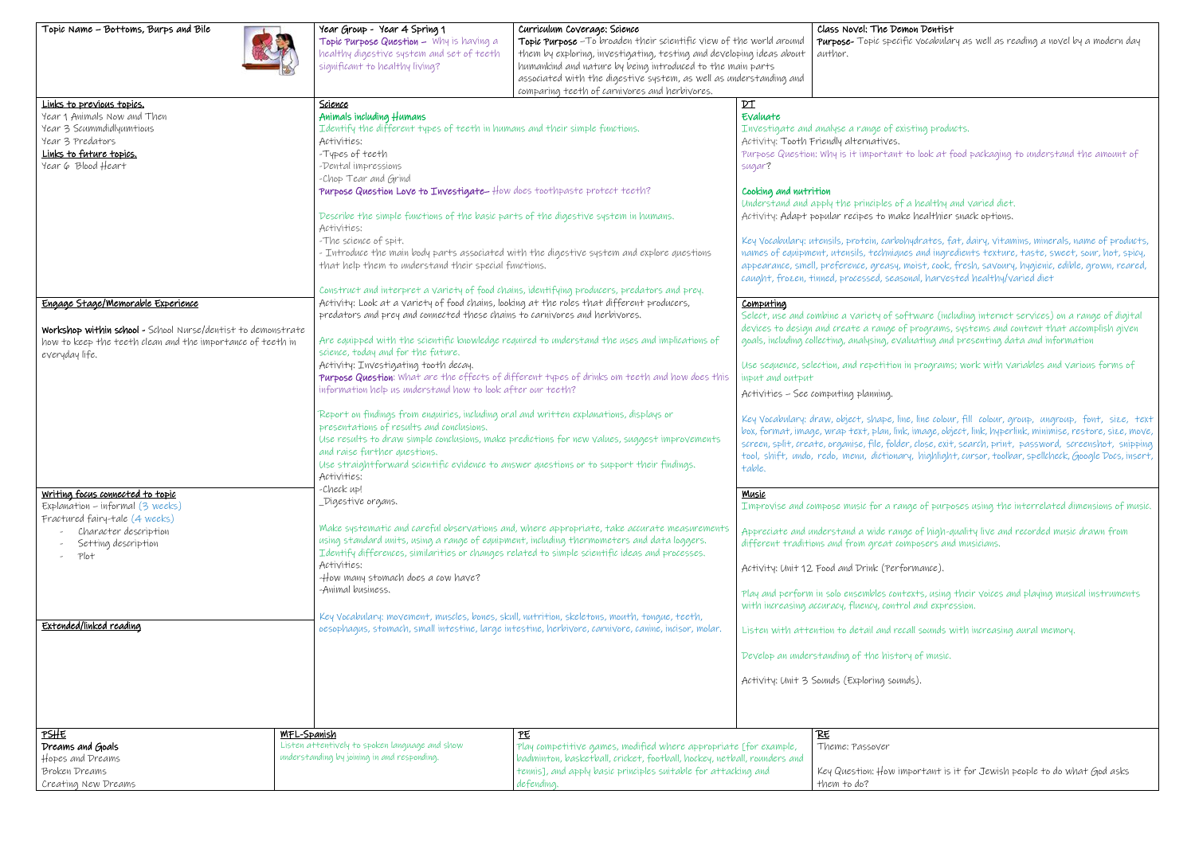| Topic Name - Bottoms, Burps and Bile                                                                                                                                                                                                                                                                                                                | Year Group - Year 4 Spring 1<br>Topic Purpose Question - Why is having a<br>healthy digestive system and set of teeth<br>significant to healthy living?                                                                                                                                                                                                                                                                                                                                                                                                                                                                                                                                                                                                                                                                                                                                                                                                                                                                                                                                                                                                                                                                                                                                                                                                            | Curriculum Coverage: Science<br>Topic Purpose - To broaden their scientific view of the world around<br>them by exploring, investigating, testing and developing ideas about<br>humankind and nature by being introduced to the main parts<br>associated with the digestive system, as well as understanding and<br>comparing teeth of carnivores and herbivores. |                                                                                                                                                                                                                                                                                                                                                                                                                                                                                                                                                                                                                              | Class Novel: The De<br>Purpose-Topic speci<br>author.                                                                                                                                                             |  |
|-----------------------------------------------------------------------------------------------------------------------------------------------------------------------------------------------------------------------------------------------------------------------------------------------------------------------------------------------------|--------------------------------------------------------------------------------------------------------------------------------------------------------------------------------------------------------------------------------------------------------------------------------------------------------------------------------------------------------------------------------------------------------------------------------------------------------------------------------------------------------------------------------------------------------------------------------------------------------------------------------------------------------------------------------------------------------------------------------------------------------------------------------------------------------------------------------------------------------------------------------------------------------------------------------------------------------------------------------------------------------------------------------------------------------------------------------------------------------------------------------------------------------------------------------------------------------------------------------------------------------------------------------------------------------------------------------------------------------------------|-------------------------------------------------------------------------------------------------------------------------------------------------------------------------------------------------------------------------------------------------------------------------------------------------------------------------------------------------------------------|------------------------------------------------------------------------------------------------------------------------------------------------------------------------------------------------------------------------------------------------------------------------------------------------------------------------------------------------------------------------------------------------------------------------------------------------------------------------------------------------------------------------------------------------------------------------------------------------------------------------------|-------------------------------------------------------------------------------------------------------------------------------------------------------------------------------------------------------------------|--|
| Links to previous topics.<br>Year 1 Animals Now and Then<br>Year 3 Scummdidlyumtious<br>Year 3 Predators<br>Links to future topics.<br>Year 6 Blood Heart                                                                                                                                                                                           | Science<br>Animals including Humans<br>Identify the different types of teeth in humans and their simple functions.<br>Activities:<br>-Types of teeth<br>-Dental impressions<br>-Chop Tear and Grind<br>Purpose Question Love to Investigate- How does toothpaste protect teeth?                                                                                                                                                                                                                                                                                                                                                                                                                                                                                                                                                                                                                                                                                                                                                                                                                                                                                                                                                                                                                                                                                    |                                                                                                                                                                                                                                                                                                                                                                   | $p_{\perp}$<br>Evaluate<br>Investigate and analyse a range of ex<br>Activity: Tooth Friendly alternatives.<br>Purpose Question: Why is it important<br>sugar?<br>Cooking and nutrition<br>Understand and apply the principles of                                                                                                                                                                                                                                                                                                                                                                                             |                                                                                                                                                                                                                   |  |
|                                                                                                                                                                                                                                                                                                                                                     | Activities:<br>-The science of spit.                                                                                                                                                                                                                                                                                                                                                                                                                                                                                                                                                                                                                                                                                                                                                                                                                                                                                                                                                                                                                                                                                                                                                                                                                                                                                                                               | Describe the simple functions of the basic parts of the digestive system in humans.<br>- Introduce the main body parts associated with the digestive system and explore questions<br>that help them to understand their special functions.                                                                                                                        |                                                                                                                                                                                                                                                                                                                                                                                                                                                                                                                                                                                                                              | Activity: Adapt popular recipes to mal<br>Key Vocabulary: utensils, protein, carbo<br>names of equipment, utensils, techniqu<br>appearance, smell, preference, greasy,<br>caught, frozen, tinned, processed, seas |  |
| Engage Stage/Memorable Experience<br>Workshop within school - School Nurse/dentist to demonstrate<br>how to keep the teeth clean and the importance of teeth in<br>everyday life.<br>Writing focus connected to topic<br>Explanation - informal (3 weeks)<br>Fractured fairy-tale (4 weeks)<br>Character description<br>Setting description<br>Plot | Construct and interpret a variety of food chains, identifying producers, predators and prey.<br>Activity: Look at a variety of food chains, looking at the roles that different producers,<br>predators and prey and connected these chains to carnivores and herbivores.<br>Are equipped with the scientific knowledge required to understand the uses and implications of<br>science, today and for the future.<br>Activity: Investigating tooth decay.<br>Purpose Question: What are the effects of different types of drinks om teeth and how does this<br>information help us understand how to look after our teeth?<br>Report on findings from enquiries, including oral and written explanations, displays or<br>presentations of results and conclusions.<br>Use results to draw simple conclusions, make predictions for new values, suggest improvements<br>and raise further questions.<br>Use straightforward scientific evidence to answer questions or to support their findings.<br>Activities:<br>-Check up!<br>_Digestive organs.<br>Make systematic and careful observations and, where appropriate, take accurate measurements<br>using standard units, using a range of equipment, including thermometers and data loggers.<br>Identify differences, similarities or changes related to simple scientific ideas and processes.<br>Activities: |                                                                                                                                                                                                                                                                                                                                                                   | Computing<br>Select, use and combine a variety of sc<br>devices to design and create a range o<br>goals, including collecting, analysing, ev.<br>Use sequence, selection, and repetition<br>input and output<br>Activities - See computing planning.<br>Key Vocabulary: draw, object, shape, li<br>box, format, image, wrap text, plan, lin<br>screen, split, create, organise, file, fold<br>tool, shift, undo, redo, menu, dictiona<br>table.<br>Music<br>Improvise and compose music for a ra<br>Appreciate and understand a wide ran<br>different traditions and from great co<br>Activity: Unit 12 Food and Drink (Perf |                                                                                                                                                                                                                   |  |
| Extended/linked reading                                                                                                                                                                                                                                                                                                                             | -How many stomach does a cow have?<br>-Animal business.                                                                                                                                                                                                                                                                                                                                                                                                                                                                                                                                                                                                                                                                                                                                                                                                                                                                                                                                                                                                                                                                                                                                                                                                                                                                                                            | Key Vocabulary; movement, muscles, bones, skull, nutrition, skeletons, mouth, tongue, teeth,<br>oesophagus, stomach, small intestine, large intestine, herbivore, carnivore, canine, incisor, molar.                                                                                                                                                              |                                                                                                                                                                                                                                                                                                                                                                                                                                                                                                                                                                                                                              | Play and perform in solo ensembles con<br>with increasing accuracy, fluency, contr<br>Listen with attention to detail and re<br>Develop an understanding of the histo<br>Activity: Unit 3 Sounds (Exploring sour  |  |
| PSHE<br>Dreams and Goals<br>Hopes and Dreams<br><b>Broken Dreams</b><br>Creating New Dreams                                                                                                                                                                                                                                                         | <b>MFL-Spanish</b><br>Listen attentively to spoken language and show<br>understanding by joining in and responding.                                                                                                                                                                                                                                                                                                                                                                                                                                                                                                                                                                                                                                                                                                                                                                                                                                                                                                                                                                                                                                                                                                                                                                                                                                                | 匹<br>Play competitive games, modified where appropriate [for example,<br>badminton, basketball, cricket, football, hockey, netball, rounders and<br>tennis], and apply basic principles suitable for attacking and<br>defending.                                                                                                                                  |                                                                                                                                                                                                                                                                                                                                                                                                                                                                                                                                                                                                                              | RE<br>Theme: Passover<br>Key Question: How in<br>them to do?                                                                                                                                                      |  |

ific vocabulary as well as reading a novel by a modern day

kisting products.

 $\tau$  to look at food packaging to understand the amount of

f a healthy and varied diet. ke healthier snack options.

ohydrates, fat, dairy, vitamins, minerals, name of products, nes and ingredients texture, taste, sweet, sour, hot, spicy, moist, cook, fresh, savoury, hygienic, edible, grown, reared, sonal, harvested healthy/varied diet

oftware (including internet services) on a range of digital of programs, systems and content that accomplish given aluating and presenting data and information

in programs; work with variables and various forms of

ne, line colour, fill colour, group, ungroup, font, size, text  $n$ k, image, object, link, hyperlink, minimise, restore, size, move,  $\overline{\phantom{a}}$ der, close, exit, search, print, password, screenshot, snipping ary, highlight, cursor, toolbar, spellcheck, Google Docs, insert,

Inge of purposes using the interrelated dimensions of music.

ige of high-quality live and recorded music drawn from omposers and musicians.

formance).

atexts, using their voices and playing musical instruments rol and expression.

rcall sounds with increasing aural memory.

bry of music.

nds).

mportant is it for Jewish people to do what God asks